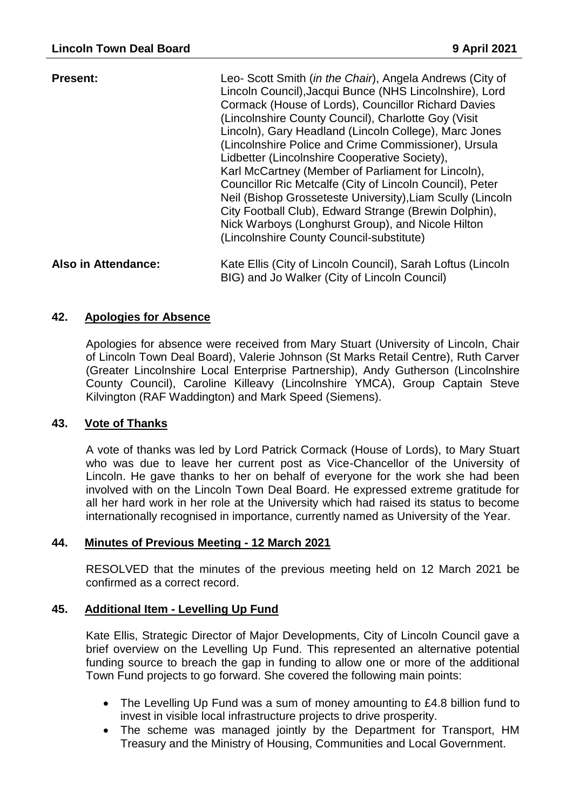| <b>Present:</b>     | Leo- Scott Smith (in the Chair), Angela Andrews (City of<br>Lincoln Council), Jacqui Bunce (NHS Lincolnshire), Lord<br>Cormack (House of Lords), Councillor Richard Davies<br>(Lincolnshire County Council), Charlotte Goy (Visit)<br>Lincoln), Gary Headland (Lincoln College), Marc Jones<br>(Lincolnshire Police and Crime Commissioner), Ursula<br>Lidbetter (Lincolnshire Cooperative Society),<br>Karl McCartney (Member of Parliament for Lincoln),<br>Councillor Ric Metcalfe (City of Lincoln Council), Peter<br>Neil (Bishop Grosseteste University), Liam Scully (Lincoln<br>City Football Club), Edward Strange (Brewin Dolphin),<br>Nick Warboys (Longhurst Group), and Nicole Hilton<br>(Lincolnshire County Council-substitute) |
|---------------------|------------------------------------------------------------------------------------------------------------------------------------------------------------------------------------------------------------------------------------------------------------------------------------------------------------------------------------------------------------------------------------------------------------------------------------------------------------------------------------------------------------------------------------------------------------------------------------------------------------------------------------------------------------------------------------------------------------------------------------------------|
| Also in Attendance: | Kate Ellis (City of Lincoln Council), Sarah Loftus (Lincoln<br>BIG) and Jo Walker (City of Lincoln Council)                                                                                                                                                                                                                                                                                                                                                                                                                                                                                                                                                                                                                                    |

### **42. Apologies for Absence**

Apologies for absence were received from Mary Stuart (University of Lincoln, Chair of Lincoln Town Deal Board), Valerie Johnson (St Marks Retail Centre), Ruth Carver (Greater Lincolnshire Local Enterprise Partnership), Andy Gutherson (Lincolnshire County Council), Caroline Killeavy (Lincolnshire YMCA), Group Captain Steve Kilvington (RAF Waddington) and Mark Speed (Siemens).

#### **43. Vote of Thanks**

A vote of thanks was led by Lord Patrick Cormack (House of Lords), to Mary Stuart who was due to leave her current post as Vice-Chancellor of the University of Lincoln. He gave thanks to her on behalf of everyone for the work she had been involved with on the Lincoln Town Deal Board. He expressed extreme gratitude for all her hard work in her role at the University which had raised its status to become internationally recognised in importance, currently named as University of the Year.

#### **44. Minutes of Previous Meeting - 12 March 2021**

RESOLVED that the minutes of the previous meeting held on 12 March 2021 be confirmed as a correct record.

#### **45. Additional Item - Levelling Up Fund**

Kate Ellis, Strategic Director of Major Developments, City of Lincoln Council gave a brief overview on the Levelling Up Fund. This represented an alternative potential funding source to breach the gap in funding to allow one or more of the additional Town Fund projects to go forward. She covered the following main points:

- The Levelling Up Fund was a sum of money amounting to £4.8 billion fund to invest in visible local infrastructure projects to drive prosperity.
- The scheme was managed jointly by the Department for Transport, HM Treasury and the Ministry of Housing, Communities and Local Government.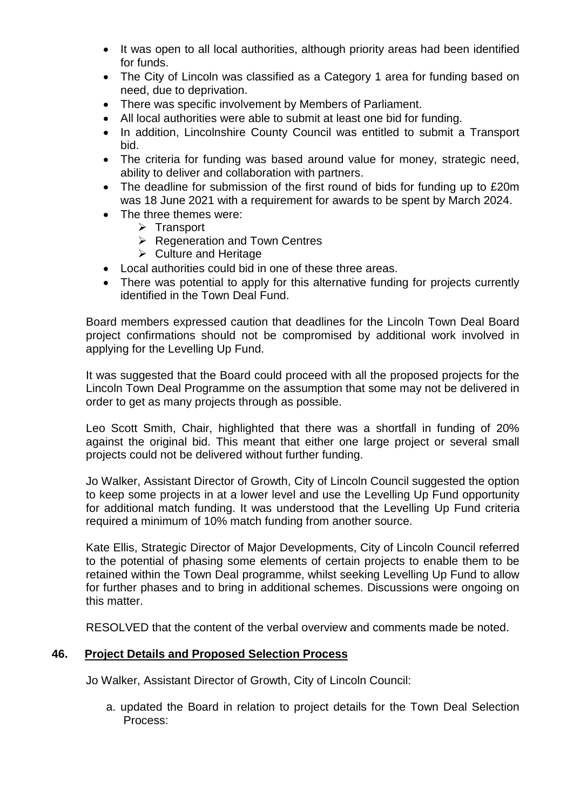- It was open to all local authorities, although priority areas had been identified for funds.
- The City of Lincoln was classified as a Category 1 area for funding based on need, due to deprivation.
- There was specific involvement by Members of Parliament.
- All local authorities were able to submit at least one bid for funding.
- In addition, Lincolnshire County Council was entitled to submit a Transport bid.
- The criteria for funding was based around value for money, strategic need, ability to deliver and collaboration with partners.
- The deadline for submission of the first round of bids for funding up to £20m was 18 June 2021 with a requirement for awards to be spent by March 2024.
- The three themes were:
	- $\triangleright$  Transport
	- $\triangleright$  Regeneration and Town Centres
	- $\triangleright$  Culture and Heritage
- Local authorities could bid in one of these three areas.
- There was potential to apply for this alternative funding for projects currently identified in the Town Deal Fund.

Board members expressed caution that deadlines for the Lincoln Town Deal Board project confirmations should not be compromised by additional work involved in applying for the Levelling Up Fund.

It was suggested that the Board could proceed with all the proposed projects for the Lincoln Town Deal Programme on the assumption that some may not be delivered in order to get as many projects through as possible.

Leo Scott Smith, Chair, highlighted that there was a shortfall in funding of 20% against the original bid. This meant that either one large project or several small projects could not be delivered without further funding.

Jo Walker, Assistant Director of Growth, City of Lincoln Council suggested the option to keep some projects in at a lower level and use the Levelling Up Fund opportunity for additional match funding. It was understood that the Levelling Up Fund criteria required a minimum of 10% match funding from another source.

Kate Ellis, Strategic Director of Major Developments, City of Lincoln Council referred to the potential of phasing some elements of certain projects to enable them to be retained within the Town Deal programme, whilst seeking Levelling Up Fund to allow for further phases and to bring in additional schemes. Discussions were ongoing on this matter.

RESOLVED that the content of the verbal overview and comments made be noted.

# **46. Project Details and Proposed Selection Process**

Jo Walker, Assistant Director of Growth, City of Lincoln Council:

a. updated the Board in relation to project details for the Town Deal Selection Process: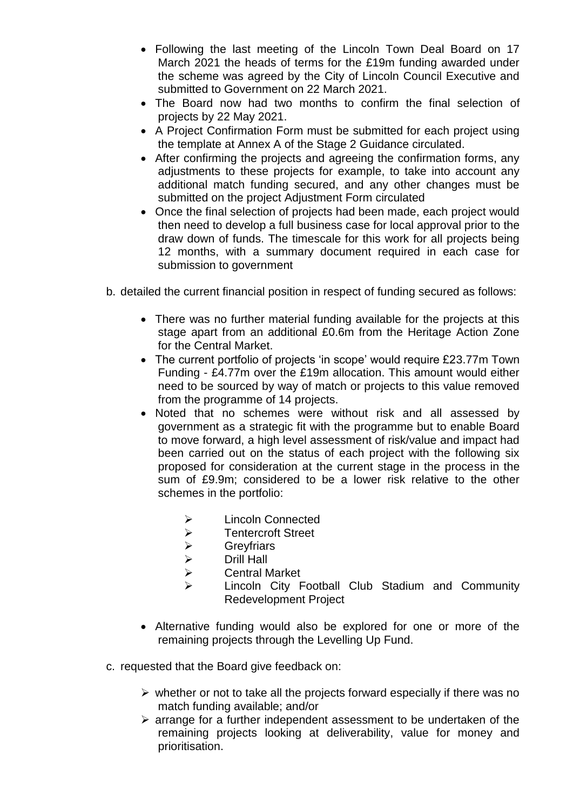- Following the last meeting of the Lincoln Town Deal Board on 17 March 2021 the heads of terms for the £19m funding awarded under the scheme was agreed by the City of Lincoln Council Executive and submitted to Government on 22 March 2021.
- The Board now had two months to confirm the final selection of projects by 22 May 2021.
- A Project Confirmation Form must be submitted for each project using the template at Annex A of the Stage 2 Guidance circulated.
- After confirming the projects and agreeing the confirmation forms, any adjustments to these projects for example, to take into account any additional match funding secured, and any other changes must be submitted on the project Adjustment Form circulated
- Once the final selection of projects had been made, each project would then need to develop a full business case for local approval prior to the draw down of funds. The timescale for this work for all projects being 12 months, with a summary document required in each case for submission to government
- b. detailed the current financial position in respect of funding secured as follows:
	- There was no further material funding available for the projects at this stage apart from an additional £0.6m from the Heritage Action Zone for the Central Market.
	- The current portfolio of projects 'in scope' would require £23.77m Town Funding - £4.77m over the £19m allocation. This amount would either need to be sourced by way of match or projects to this value removed from the programme of 14 projects.
	- Noted that no schemes were without risk and all assessed by government as a strategic fit with the programme but to enable Board to move forward, a high level assessment of risk/value and impact had been carried out on the status of each project with the following six proposed for consideration at the current stage in the process in the sum of £9.9m; considered to be a lower risk relative to the other schemes in the portfolio:
		- **▶ Lincoln Connected**
		- > Tentercroft Street
		- Greyfriars
		- > Drill Hall
		- Central Market
		- Lincoln City Football Club Stadium and Community Redevelopment Project
	- Alternative funding would also be explored for one or more of the remaining projects through the Levelling Up Fund.
- c. requested that the Board give feedback on:
	- $\triangleright$  whether or not to take all the projects forward especially if there was no match funding available; and/or
	- $\triangleright$  arrange for a further independent assessment to be undertaken of the remaining projects looking at deliverability, value for money and prioritisation.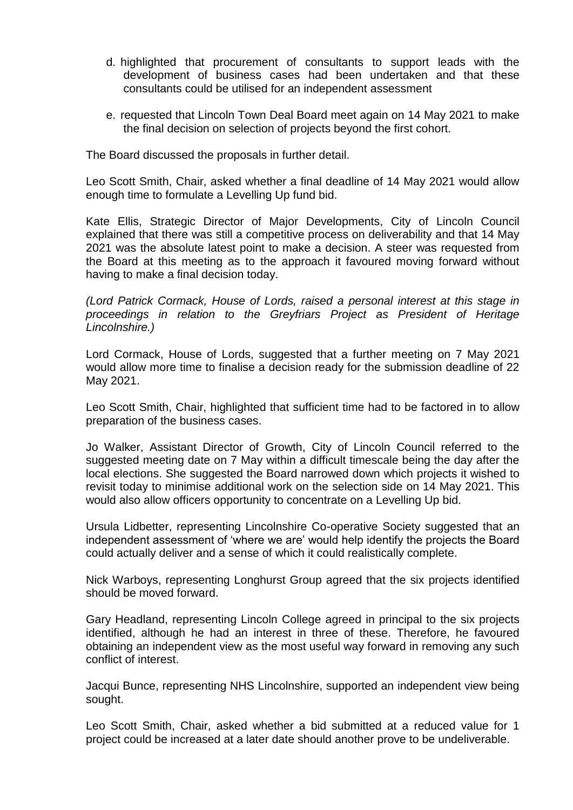- d. highlighted that procurement of consultants to support leads with the development of business cases had been undertaken and that these consultants could be utilised for an independent assessment
- e. requested that Lincoln Town Deal Board meet again on 14 May 2021 to make the final decision on selection of projects beyond the first cohort.

The Board discussed the proposals in further detail.

Leo Scott Smith, Chair, asked whether a final deadline of 14 May 2021 would allow enough time to formulate a Levelling Up fund bid.

Kate Ellis, Strategic Director of Major Developments, City of Lincoln Council explained that there was still a competitive process on deliverability and that 14 May 2021 was the absolute latest point to make a decision. A steer was requested from the Board at this meeting as to the approach it favoured moving forward without having to make a final decision today.

*(Lord Patrick Cormack, House of Lords, raised a personal interest at this stage in proceedings in relation to the Greyfriars Project as President of Heritage Lincolnshire.)*

Lord Cormack, House of Lords, suggested that a further meeting on 7 May 2021 would allow more time to finalise a decision ready for the submission deadline of 22 May 2021.

Leo Scott Smith, Chair, highlighted that sufficient time had to be factored in to allow preparation of the business cases.

Jo Walker, Assistant Director of Growth, City of Lincoln Council referred to the suggested meeting date on 7 May within a difficult timescale being the day after the local elections. She suggested the Board narrowed down which projects it wished to revisit today to minimise additional work on the selection side on 14 May 2021. This would also allow officers opportunity to concentrate on a Levelling Up bid.

Ursula Lidbetter, representing Lincolnshire Co-operative Society suggested that an independent assessment of 'where we are' would help identify the projects the Board could actually deliver and a sense of which it could realistically complete.

Nick Warboys, representing Longhurst Group agreed that the six projects identified should be moved forward.

Gary Headland, representing Lincoln College agreed in principal to the six projects identified, although he had an interest in three of these. Therefore, he favoured obtaining an independent view as the most useful way forward in removing any such conflict of interest.

Jacqui Bunce, representing NHS Lincolnshire, supported an independent view being sought.

Leo Scott Smith, Chair, asked whether a bid submitted at a reduced value for 1 project could be increased at a later date should another prove to be undeliverable.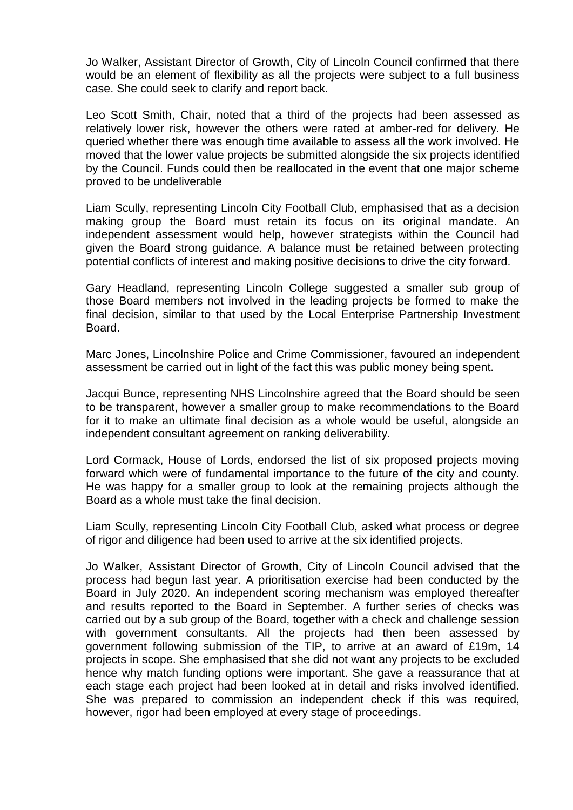Jo Walker, Assistant Director of Growth, City of Lincoln Council confirmed that there would be an element of flexibility as all the projects were subject to a full business case. She could seek to clarify and report back.

Leo Scott Smith, Chair, noted that a third of the projects had been assessed as relatively lower risk, however the others were rated at amber-red for delivery. He queried whether there was enough time available to assess all the work involved. He moved that the lower value projects be submitted alongside the six projects identified by the Council. Funds could then be reallocated in the event that one major scheme proved to be undeliverable

Liam Scully, representing Lincoln City Football Club, emphasised that as a decision making group the Board must retain its focus on its original mandate. An independent assessment would help, however strategists within the Council had given the Board strong guidance. A balance must be retained between protecting potential conflicts of interest and making positive decisions to drive the city forward.

Gary Headland, representing Lincoln College suggested a smaller sub group of those Board members not involved in the leading projects be formed to make the final decision, similar to that used by the Local Enterprise Partnership Investment Board.

Marc Jones, Lincolnshire Police and Crime Commissioner, favoured an independent assessment be carried out in light of the fact this was public money being spent.

Jacqui Bunce, representing NHS Lincolnshire agreed that the Board should be seen to be transparent, however a smaller group to make recommendations to the Board for it to make an ultimate final decision as a whole would be useful, alongside an independent consultant agreement on ranking deliverability.

Lord Cormack, House of Lords, endorsed the list of six proposed projects moving forward which were of fundamental importance to the future of the city and county. He was happy for a smaller group to look at the remaining projects although the Board as a whole must take the final decision.

Liam Scully, representing Lincoln City Football Club, asked what process or degree of rigor and diligence had been used to arrive at the six identified projects.

Jo Walker, Assistant Director of Growth, City of Lincoln Council advised that the process had begun last year. A prioritisation exercise had been conducted by the Board in July 2020. An independent scoring mechanism was employed thereafter and results reported to the Board in September. A further series of checks was carried out by a sub group of the Board, together with a check and challenge session with government consultants. All the projects had then been assessed by government following submission of the TIP, to arrive at an award of £19m, 14 projects in scope. She emphasised that she did not want any projects to be excluded hence why match funding options were important. She gave a reassurance that at each stage each project had been looked at in detail and risks involved identified. She was prepared to commission an independent check if this was required, however, rigor had been employed at every stage of proceedings.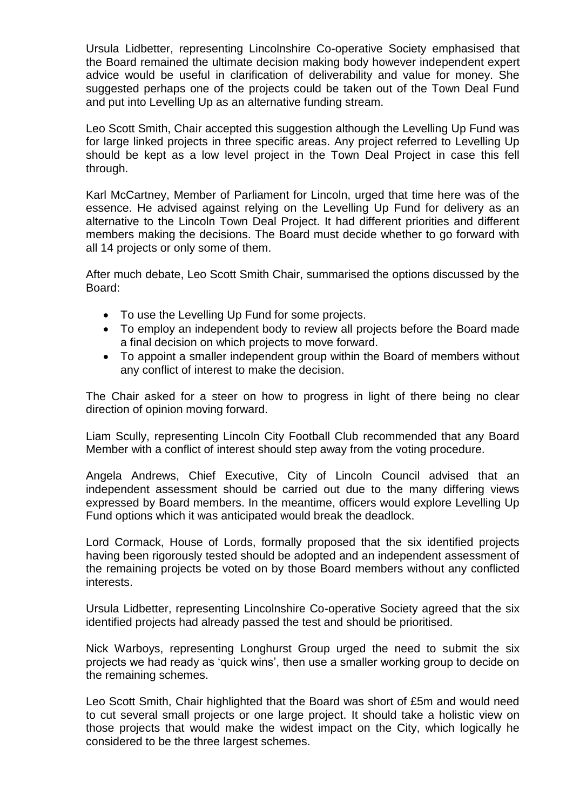Ursula Lidbetter, representing Lincolnshire Co-operative Society emphasised that the Board remained the ultimate decision making body however independent expert advice would be useful in clarification of deliverability and value for money. She suggested perhaps one of the projects could be taken out of the Town Deal Fund and put into Levelling Up as an alternative funding stream.

Leo Scott Smith, Chair accepted this suggestion although the Levelling Up Fund was for large linked projects in three specific areas. Any project referred to Levelling Up should be kept as a low level project in the Town Deal Project in case this fell through.

Karl McCartney, Member of Parliament for Lincoln, urged that time here was of the essence. He advised against relying on the Levelling Up Fund for delivery as an alternative to the Lincoln Town Deal Project. It had different priorities and different members making the decisions. The Board must decide whether to go forward with all 14 projects or only some of them.

After much debate, Leo Scott Smith Chair, summarised the options discussed by the Board:

- To use the Levelling Up Fund for some projects.
- To employ an independent body to review all projects before the Board made a final decision on which projects to move forward.
- To appoint a smaller independent group within the Board of members without any conflict of interest to make the decision.

The Chair asked for a steer on how to progress in light of there being no clear direction of opinion moving forward.

Liam Scully, representing Lincoln City Football Club recommended that any Board Member with a conflict of interest should step away from the voting procedure.

Angela Andrews, Chief Executive, City of Lincoln Council advised that an independent assessment should be carried out due to the many differing views expressed by Board members. In the meantime, officers would explore Levelling Up Fund options which it was anticipated would break the deadlock.

Lord Cormack, House of Lords, formally proposed that the six identified projects having been rigorously tested should be adopted and an independent assessment of the remaining projects be voted on by those Board members without any conflicted interests.

Ursula Lidbetter, representing Lincolnshire Co-operative Society agreed that the six identified projects had already passed the test and should be prioritised.

Nick Warboys, representing Longhurst Group urged the need to submit the six projects we had ready as 'quick wins', then use a smaller working group to decide on the remaining schemes.

Leo Scott Smith, Chair highlighted that the Board was short of £5m and would need to cut several small projects or one large project. It should take a holistic view on those projects that would make the widest impact on the City, which logically he considered to be the three largest schemes.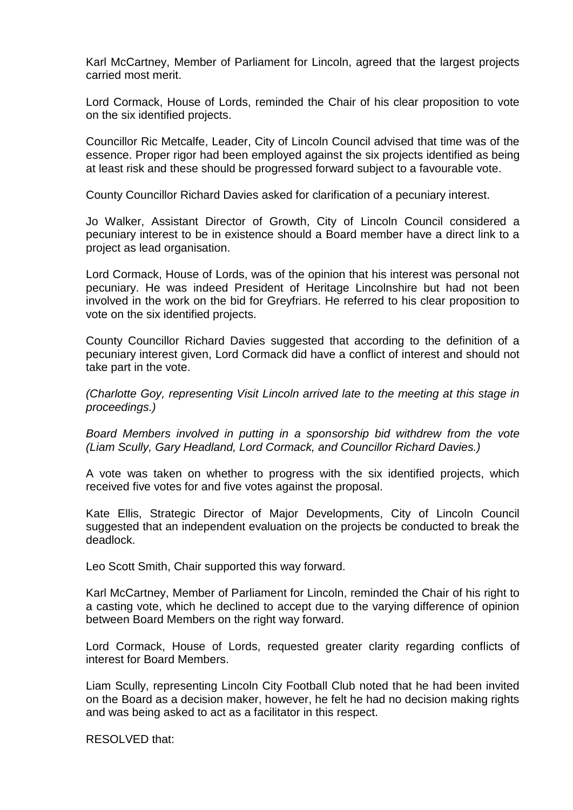Karl McCartney, Member of Parliament for Lincoln, agreed that the largest projects carried most merit.

Lord Cormack, House of Lords, reminded the Chair of his clear proposition to vote on the six identified projects.

Councillor Ric Metcalfe, Leader, City of Lincoln Council advised that time was of the essence. Proper rigor had been employed against the six projects identified as being at least risk and these should be progressed forward subject to a favourable vote.

County Councillor Richard Davies asked for clarification of a pecuniary interest.

Jo Walker, Assistant Director of Growth, City of Lincoln Council considered a pecuniary interest to be in existence should a Board member have a direct link to a project as lead organisation.

Lord Cormack, House of Lords, was of the opinion that his interest was personal not pecuniary. He was indeed President of Heritage Lincolnshire but had not been involved in the work on the bid for Greyfriars. He referred to his clear proposition to vote on the six identified projects.

County Councillor Richard Davies suggested that according to the definition of a pecuniary interest given, Lord Cormack did have a conflict of interest and should not take part in the vote.

*(Charlotte Goy, representing Visit Lincoln arrived late to the meeting at this stage in proceedings.)*

*Board Members involved in putting in a sponsorship bid withdrew from the vote (Liam Scully, Gary Headland, Lord Cormack, and Councillor Richard Davies.)*

A vote was taken on whether to progress with the six identified projects, which received five votes for and five votes against the proposal.

Kate Ellis, Strategic Director of Major Developments, City of Lincoln Council suggested that an independent evaluation on the projects be conducted to break the deadlock.

Leo Scott Smith, Chair supported this way forward.

Karl McCartney, Member of Parliament for Lincoln, reminded the Chair of his right to a casting vote, which he declined to accept due to the varying difference of opinion between Board Members on the right way forward.

Lord Cormack, House of Lords, requested greater clarity regarding conflicts of interest for Board Members.

Liam Scully, representing Lincoln City Football Club noted that he had been invited on the Board as a decision maker, however, he felt he had no decision making rights and was being asked to act as a facilitator in this respect.

RESOLVED that: